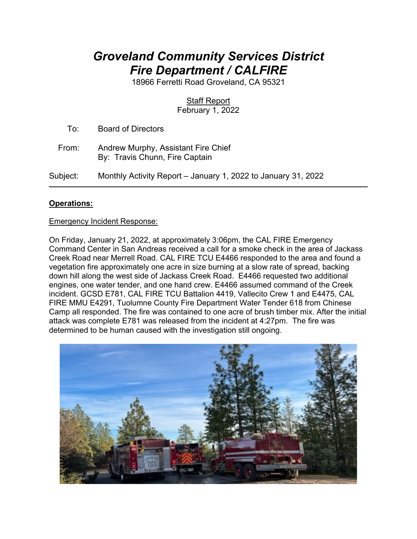# *Groveland Community Services District Fire Department / CALFIRE*

18966 Ferretti Road Groveland, CA 95321

# **Staff Report**

February 1, 2022

To: Board of Directors

 From: Andrew Murphy, Assistant Fire Chief By: Travis Chunn, Fire Captain

Subject: Monthly Activity Report – January 1, 2022 to January 31, 2022

## **Operations:**

#### Emergency Incident Response:

On Friday, January 21, 2022, at approximately 3:06pm, the CAL FIRE Emergency Command Center in San Andreas received a call for a smoke check in the area of Jackass Creek Road near Merrell Road. CAL FIRE TCU E4466 responded to the area and found a vegetation fire approximately one acre in size burning at a slow rate of spread, backing down hill along the west side of Jackass Creek Road. E4466 requested two additional engines, one water tender, and one hand crew. E4466 assumed command of the Creek incident. GCSD E781, CAL FIRE TCU Battalion 4419, Vallecito Crew 1 and E4475, CAL FIRE MMU E4291, Tuolumne County Fire Department Water Tender 618 from Chinese Camp all responded. The fire was contained to one acre of brush timber mix. After the initial attack was complete E781 was released from the incident at 4:27pm. The fire was determined to be human caused with the investigation still ongoing.

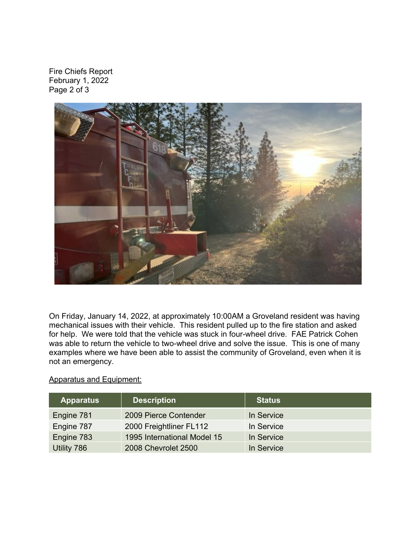Fire Chiefs Report February 1, 2022 Page 2 of 3



On Friday, January 14, 2022, at approximately 10:00AM a Groveland resident was having mechanical issues with their vehicle. This resident pulled up to the fire station and asked for help. We were told that the vehicle was stuck in four-wheel drive. FAE Patrick Cohen was able to return the vehicle to two-wheel drive and solve the issue. This is one of many examples where we have been able to assist the community of Groveland, even when it is not an emergency.

#### Apparatus and Equipment:

| <b>Apparatus</b> | <b>Description</b>          | <b>Status</b> |
|------------------|-----------------------------|---------------|
| Engine 781       | 2009 Pierce Contender       | In Service    |
| Engine 787       | 2000 Freightliner FL112     | In Service    |
| Engine 783       | 1995 International Model 15 | In Service    |
| Utility 786      | 2008 Chevrolet 2500         | In Service    |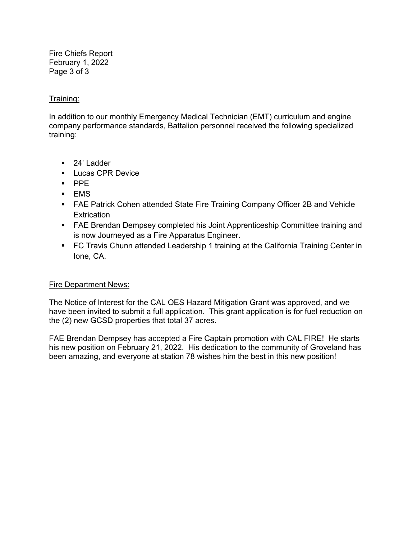Fire Chiefs Report February 1, 2022 Page 3 of 3

#### Training:

In addition to our monthly Emergency Medical Technician (EMT) curriculum and engine company performance standards, Battalion personnel received the following specialized training:

- 24' Ladder
- **Lucas CPR Device**
- $\blacksquare$  PPE
- EMS
- FAE Patrick Cohen attended State Fire Training Company Officer 2B and Vehicle **Extrication**
- FAE Brendan Dempsey completed his Joint Apprenticeship Committee training and is now Journeyed as a Fire Apparatus Engineer.
- FC Travis Chunn attended Leadership 1 training at the California Training Center in Ione, CA.

### Fire Department News:

The Notice of Interest for the CAL OES Hazard Mitigation Grant was approved, and we have been invited to submit a full application. This grant application is for fuel reduction on the (2) new GCSD properties that total 37 acres.

FAE Brendan Dempsey has accepted a Fire Captain promotion with CAL FIRE! He starts his new position on February 21, 2022. His dedication to the community of Groveland has been amazing, and everyone at station 78 wishes him the best in this new position!